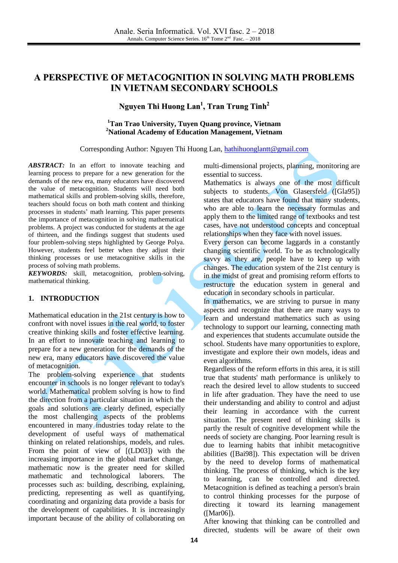# **A PERSPECTIVE OF METACOGNITION IN SOLVING MATH PROBLEMS IN VIETNAM SECONDARY SCHOOLS**

## **Nguyen Thi Huong Lan 1 , Tran Trung Tinh 2**

### **<sup>1</sup>Tan Trao University, Tuyen Quang province, Vietnam <sup>2</sup>National Academy of Education Management, Vietnam**

#### Corresponding Author: Nguyen Thi Huong Lan[, hathihuonglantt@gmail.com](mailto:hathihuonglantt@gmail.com)

*ABSTRACT:* In an effort to innovate teaching and learning process to prepare for a new generation for the demands of the new era, many educators have discovered the value of metacognition. Students will need both mathematical skills and problem-solving skills, therefore, teachers should focus on both math content and thinking processes in students' math learning. This paper presents the importance of metacognition in solving mathematical problems. A project was conducted for students at the age of thirteen, and the findings suggest that students used four problem-solving steps highlighted by George Polya. However, students feel better when they adjust their thinking processes or use metacognitive skills in the process of solving math problems.

*KEYWORDS:* skill, metacognition, problem-solving, mathematical thinking.

#### **1. INTRODUCTION**

Mathematical education in the 21st century is how to confront with novel issues in the real world, to foster creative thinking skills and foster effective learning. In an effort to innovate teaching and learning to prepare for a new generation for the demands of the new era, many educators have discovered the value of metacognition.

The problem-solving experience that students encounter in schools is no longer relevant to today's world. Mathematical problem solving is how to find the direction from a particular situation in which the goals and solutions are clearly defined, especially the most challenging aspects of the problems encountered in many industries today relate to the development of useful ways of mathematical thinking on related relationships, models, and rules. From the point of view of [(LD03]) with the increasing importance in the global market change, mathematic now is the greater need for skilled mathematic and technological laborers. The processes such as: building, describing, explaining, predicting, representing as well as quantifying, coordinating and organizing data provide a basis for the development of capabilities. It is increasingly important because of the ability of collaborating on multi-dimensional projects, planning, monitoring are essential to success.

Mathematics is always one of the most difficult subjects to students. Von Glasersfeld ([Gla95]) states that educators have found that many students, who are able to learn the necessary formulas and apply them to the limited range of textbooks and test cases, have not understood concepts and conceptual relationships when they face with novel issues.

Every person can become laggards in a constantly changing scientific world. To be as technologically savvy as they are, people have to keep up with changes. The education system of the 21st century is in the midst of great and promising reform efforts to restructure the education system in general and education in secondary schools in particular.

In mathematics, we are striving to pursue in many aspects and recognize that there are many ways to learn and understand mathematics such as using technology to support our learning, connecting math and experiences that students accumulate outside the school. Students have many opportunities to explore, investigate and explore their own models, ideas and even algorithms.

Regardless of the reform efforts in this area, it is still true that students' math performance is unlikely to reach the desired level to allow students to succeed in life after graduation. They have the need to use their understanding and ability to control and adjust their learning in accordance with the current situation. The present need of thinking skills is partly the result of cognitive development while the needs of society are changing. Poor learning result is due to learning habits that inhibit metacognitive abilities ([Bai98]). This expectation will be driven by the need to develop forms of mathematical thinking. The process of thinking, which is the key to learning, can be controlled and directed. Metacognition is defined as teaching a person's brain to control thinking processes for the purpose of directing it toward its learning management ([Mar06]).

After knowing that thinking can be controlled and directed, students will be aware of their own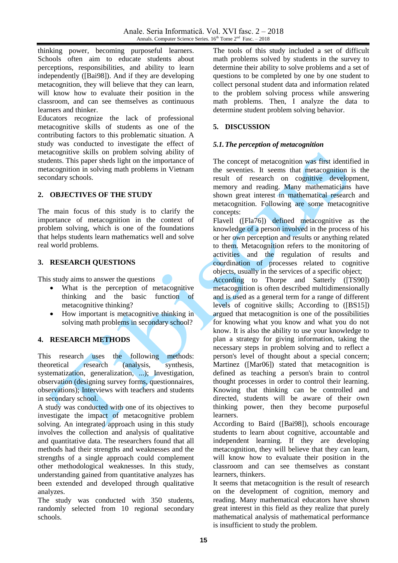thinking power, becoming purposeful learners. Schools often aim to educate students about perceptions, responsibilities, and ability to learn independently ([Bai98]). And if they are developing metacognition, they will believe that they can learn, will know how to evaluate their position in the classroom, and can see themselves as continuous learners and thinker.

Educators recognize the lack of professional metacognitive skills of students as one of the contributing factors to this problematic situation. A study was conducted to investigate the effect of metacognitive skills on problem solving ability of students. This paper sheds light on the importance of metacognition in solving math problems in Vietnam secondary schools.

### **2. OBJECTIVES OF THE STUDY**

The main focus of this study is to clarify the importance of metacognition in the context of problem solving, which is one of the foundations that helps students learn mathematics well and solve real world problems.

### **3. RESEARCH QUESTIONS**

This study aims to answer the questions

- What is the perception of metacognitive thinking and the basic function of metacognitive thinking?
- How important is metacognitive thinking in solving math problems in secondary school?

### **4. RESEARCH METHODS**

This research uses the following methods: theoretical research (analysis, synthesis, systematization, generalization, ...); Investigation, observation (designing survey forms, questionnaires, observations); Interviews with teachers and students in secondary school.

A study was conducted with one of its objectives to investigate the impact of metacognitive problem solving. An integrated approach using in this study involves the collection and analysis of qualitative and quantitative data. The researchers found that all methods had their strengths and weaknesses and the strengths of a single approach could complement other methodological weaknesses. In this study, understanding gained from quantitative analyzes has been extended and developed through qualitative analyzes.

The study was conducted with 350 students, randomly selected from 10 regional secondary schools.

The tools of this study included a set of difficult math problems solved by students in the survey to determine their ability to solve problems and a set of questions to be completed by one by one student to collect personal student data and information related to the problem solving process while answering math problems. Then, I analyze the data to determine student problem solving behavior.

### **5. DISCUSSION**

### *5.1.The perception of metacognition*

The concept of metacognition was first identified in the seventies. It seems that metacognition is the result of research on cognitive development, memory and reading. Many mathematicians have shown great interest in mathematical research and metacognition. Following are some metacognitive concepts:

Flavell ([Fla76]) defined metacognitive as the knowledge of a person involved in the process of his or her own perception and results or anything related to them. Metacognition refers to the monitoring of activities and the regulation of results and coordination of processes related to cognitive objects, usually in the services of a specific object;

According to Thorpe and Satterly ([TS90]) metacognition is often described multidimensionally and is used as a general term for a range of different levels of cognitive skills; According to ([BS15]) argued that metacognition is one of the possibilities for knowing what you know and what you do not know. It is also the ability to use your knowledge to plan a strategy for giving information, taking the necessary steps in problem solving and to reflect a person's level of thought about a special concern; Martinez ([Mar06]) stated that metacognition is defined as teaching a person's brain to control thought processes in order to control their learning. Knowing that thinking can be controlled and directed, students will be aware of their own thinking power, then they become purposeful learners.

According to Baird ([Bai98]), schools encourage students to learn about cognitive, accountable and independent learning. If they are developing metacognition, they will believe that they can learn, will know how to evaluate their position in the classroom and can see themselves as constant learners, thinkers.

It seems that metacognition is the result of research on the development of cognition, memory and reading. Many mathematical educators have shown great interest in this field as they realize that purely mathematical analysis of mathematical performance is insufficient to study the problem.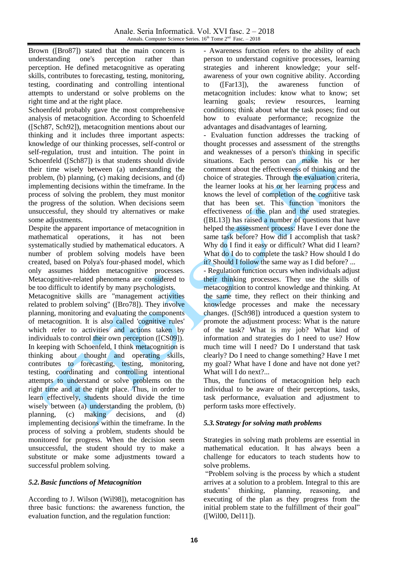Brown ([Bro87]) stated that the main concern is understanding one's perception rather than perception. He defined metacognitive as operating skills, contributes to forecasting, testing, monitoring, testing, coordinating and controlling intentional attempts to understand or solve problems on the right time and at the right place.

Schoenfeld probably gave the most comprehensive analysis of metacognition. According to Schoenfeld ([Sch87, Sch92]), metacognition mentions about our thinking and it includes three important aspects: knowledge of our thinking processes, self-control or self-regulation, trust and intuition. The point in Schoenfeld ([Sch87]) is that students should divide their time wisely between (a) understanding the problem, (b) planning, (c) making decisions, and (d) implementing decisions within the timeframe. In the process of solving the problem, they must monitor the progress of the solution. When decisions seem unsuccessful, they should try alternatives or make some adjustments.

Despite the apparent importance of metacognition in mathematical operations, it has not been systematically studied by mathematical educators. A number of problem solving models have been created, based on Polya's four-phased model, which only assumes hidden metacognitive processes. Metacognitive-related phenomena are considered to be too difficult to identify by many psychologists.

Metacognitive skills are "management activities related to problem solving" ([Bro78]). They involve planning, monitoring and evaluating the components of metacognition. It is also called 'cognitive rules' which refer to activities and actions taken by individuals to control their own perception ([CS09]). In keeping with Schoenfeld, I think metacognition is thinking about thought and operating skills, contributes to forecasting, testing, monitoring, testing, coordinating and controlling intentional attempts to understand or solve problems on the right time and at the right place. Thus, in order to learn effectively, students should divide the time wisely between (a) understanding the problem, (b) planning, (c) making decisions, and (d) implementing decisions within the timeframe. In the process of solving a problem, students should be monitored for progress. When the decision seem unsuccessful, the student should try to make a substitute or make some adjustments toward a successful problem solving.

## *5.2.Basic functions of Metacognition*

According to J. Wilson (Wil98]), metacognition has three basic functions: the awareness function, the evaluation function, and the regulation function:

- Awareness function refers to the ability of each person to understand cognitive processes, learning strategies and inherent knowledge; your selfawareness of your own cognitive ability. According to ([Far13]), the awareness function of metacognition includes: know what to know; set learning goals; review resources, learning conditions; think about what the task poses; find out how to evaluate performance; recognize the advantages and disadvantages of learning.

- Evaluation function addresses the tracking of thought processes and assessment of the strengths and weaknesses of a person's thinking in specific situations. Each person can make his or her comment about the effectiveness of thinking and the choice of strategies. Through the evaluation criteria, the learner looks at his or her learning process and knows the level of completion of the cognitive task that has been set. This function monitors the effectiveness of the plan and the used strategies. ([BL13]) has raised a number of questions that have helped the assessment process: Have I ever done the same task before? How did I accomplish that task? Why do I find it easy or difficult? What did I learn? What do I do to complete the task? How should I do it? Should I follow the same way as I did before? ...

- Regulation function occurs when individuals adjust their thinking processes. They use the skills of metacognition to control knowledge and thinking. At the same time, they reflect on their thinking and knowledge processes and make the necessary changes. ([Sch98]) introduced a question system to promote the adjustment process: What is the nature of the task? What is my job? What kind of information and strategies do I need to use? How much time will I need? Do I understand that task clearly? Do I need to change something? Have I met my goal? What have I done and have not done yet? What will I do next?...

Thus, the functions of metacognition help each individual to be aware of their perceptions, tasks, task performance, evaluation and adjustment to perform tasks more effectively.

## *5.3.Strategy for solving math problems*

Strategies in solving math problems are essential in mathematical education. It has always been a challenge for educators to teach students how to solve problems.

"Problem solving is the process by which a student arrives at a solution to a problem. Integral to this are students' thinking, planning, reasoning, and executing of the plan as they progress from the initial problem state to the fulfillment of their goal" ([Wil00, Del11]).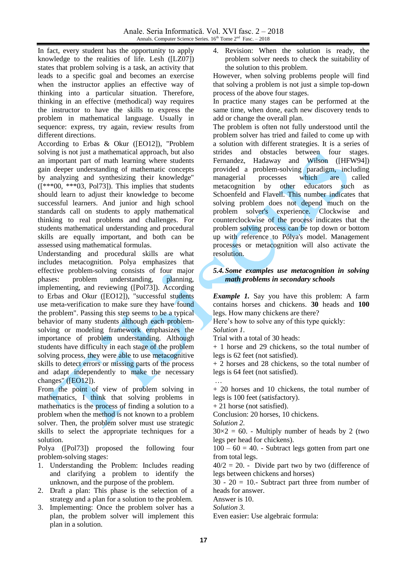In fact, every student has the opportunity to apply knowledge to the realities of life. Lesh ([LZ07]) states that problem solving is a task, an activity that leads to a specific goal and becomes an exercise when the instructor applies an effective way of thinking into a particular situation. Therefore, thinking in an effective (methodical) way requires the instructor to have the skills to express the problem in mathematical language. Usually in sequence: express, try again, review results from different directions.

According to Erbas & Okur ([EO12]), "Problem solving is not just a mathematical approach, but also an important part of math learning where students gain deeper understanding of mathematic concepts by analyzing and synthesizing their knowledge" ([\*\*\*00, \*\*\*03, Pol73]). This implies that students should learn to adjust their knowledge to become successful learners. And junior and high school standards call on students to apply mathematical thinking to real problems and challenges. For students mathematical understanding and procedural skills are equally important, and both can be assessed using mathematical formulas.

Understanding and procedural skills are what includes metacognition. Polya emphasizes that effective problem-solving consists of four major phases: problem understanding, planning, implementing, and reviewing ([Pol73]). According to Erbas and Okur ([EO12]), "successful students use meta-verification to make sure they have found the problem". Passing this step seems to be a typical behavior of many students although each problemsolving or modeling framework emphasizes the importance of problem understanding. Although students have difficulty in each stage of the problem solving process, they were able to use metacognitive skills to detect errors or missing parts of the process and adapt independently to make the necessary changes" ([EO12]).

From the point of view of problem solving in mathematics, I think that solving problems in mathematics is the process of finding a solution to a problem when the method is not known to a problem solver. Then, the problem solver must use strategic skills to select the appropriate techniques for a solution.

Polya ([Pol73]) proposed the following four problem-solving stages:

- 1. Understanding the Problem: Includes reading and clarifying a problem to identify the unknown, and the purpose of the problem.
- 2. Draft a plan: This phase is the selection of a strategy and a plan for a solution to the problem.
- 3. Implementing: Once the problem solver has a plan, the problem solver will implement this plan in a solution.

Revision: When the solution is ready, the problem solver needs to check the suitability of the solution to this problem.

However, when solving problems people will find that solving a problem is not just a simple top-down process of the above four stages.

In practice many stages can be performed at the same time, when done, each new discovery tends to add or change the overall plan.

The problem is often not fully understood until the problem solver has tried and failed to come up with a solution with different strategies. It is a series of strides and obstacles between four stages. Fernandez, Hadaway and Wilson ([HFW94]) provided a problem-solving paradigm, including managerial processes which are called metacognition by other educators such as Schoenfeld and Flavell. This number indicates that solving problem does not depend much on the problem solver's experience. Clockwise and counterclockwise of the process indicates that the problem solving process can be top down or bottom up with reference to Pólya's model. Management processes or metacognition will also activate the resolution.

### *5.4.Some examples use metacognition in solving math problems in secondary schools*

*Example 1.* Say you have this problem: A farm contains horses and chickens. **30** heads and **100** legs. How many chickens are there?

Here's how to solve any of this type quickly:

*Solution 1.*

Trial with a total of 30 heads:

+ 1 horse and 29 chickens, so the total number of legs is 62 feet (not satisfied).

+ 2 horses and 28 chickens, so the total number of legs is 64 feet (not satisfied).

… + 20 horses and 10 chickens, the total number of legs is 100 feet (satisfactory).

+ 21 horse (not satisfied).

Conclusion: 20 horses, 10 chickens.

*Solution 2.*

 $30\times2 = 60$ . - Multiply number of heads by 2 (two legs per head for chickens).

 $100 - 60 = 40$ . - Subtract legs gotten from part one from total legs.

 $40/2 = 20$ . - Divide part two by two (difference of legs between chickens and horses)

 $30 - 20 = 10$ . Subtract part three from number of heads for answer.

Answer is 10.

*Solution 3.*

Even easier: Use algebraic formula: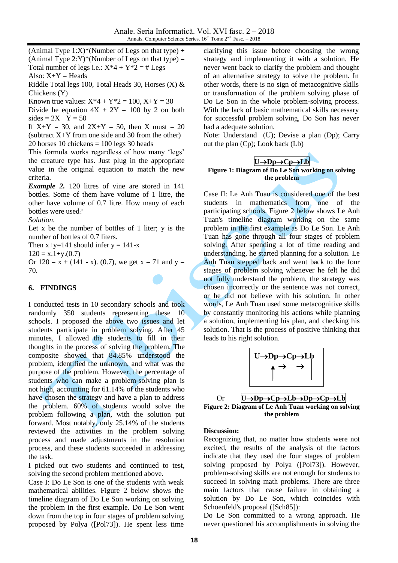(Animal Type  $1: X$ <sup>\*</sup>(Number of Legs on that type) + (Animal Type  $2:Y)^*(Number of Legs on that type) =$ Total number of legs i.e.:  $X^*4 + Y^*2 = # \text{Leg} s$ Also:  $X+Y = \text{Heads}$ 

Riddle Total legs 100, Total Heads 30, Horses (X) & Chickens (Y)

Known true values:  $X^*4 + Y^*2 = 100$ ,  $X+Y = 30$ 

Divide he equation  $4X + 2Y = 100$  by 2 on both  $sides = 2X + Y = 50$ 

If  $X+Y = 30$ , and  $2X+Y = 50$ , then X must = 20 (subtract  $X+Y$  from one side and 30 from the other) 20 horses 10 chickens  $= 100$  legs 30 heads

This formula works regardless of how many 'legs' the creature type has. Just plug in the appropriate value in the original equation to match the new criteria.

*Example 2.* 120 litres of vine are stored in 141 bottles. Some of them have volume of 1 litre, the other have volume of 0.7 litre. How many of each bottles were used?

*Solution.*

Let  $x$  be the number of bottles of 1 liter;  $y$  is the number of bottles of 0.7 liters.

Then  $x+y=141$  should infer  $y = 141-x$ 

 $120 = x.1+y.(0.7)$ 

Or  $120 = x + (141 - x)$ . (0.7), we get  $x = 71$  and  $y =$ 70.

#### **6. FINDINGS**

I conducted tests in 10 secondary schools and took randomly 350 students representing these 10 schools. I proposed the above two issues and let students participate in problem solving. After 45 minutes, I allowed the students to fill in their thoughts in the process of solving the problem. The composite showed that 84.85% understood the problem, identified the unknown, and what was the purpose of the problem. However, the percentage of students who can make a problem-solving plan is not high, accounting for 61.14% of the students who have chosen the strategy and have a plan to address the problem. 60% of students would solve the problem following a plan, with the solution put forward. Most notably, only 25.14% of the students reviewed the activities in the problem solving process and made adjustments in the resolution process, and these students succeeded in addressing the task.

I picked out two students and continued to test, solving the second problem mentioned above.

Case I: Do Le Son is one of the students with weak mathematical abilities. Figure 2 below shows the timeline diagram of Do Le Son working on solving the problem in the first example. Do Le Son went down from the top in four stages of problem solving proposed by Polya ([Pol73]). He spent less time

clarifying this issue before choosing the wrong strategy and implementing it with a solution. He never went back to clarify the problem and thought of an alternative strategy to solve the problem. In other words, there is no sign of metacognitive skills or transformation of the problem solving phase of Do Le Son in the whole problem-solving process. With the lack of basic mathematical skills necessary for successful problem solving, Do Son has never had a adequate solution.

Note: Understand (U); Devise a plan (Dp); Carry out the plan (Cp); Look back (Lb)

$$
U \rightarrow Dp \rightarrow Cp \rightarrow Lb
$$

#### **Figure 1: Diagram of Do Le Son working on solving the problem**

Case II: Le Anh Tuan is considered one of the best students in mathematics from one of the participating schools. Figure 2 below shows Le Anh Tuan's timeline diagram working on the same problem in the first example as Do Le Son. Le Anh Tuan has gone through all four stages of problem solving. After spending a lot of time reading and understanding, he started planning for a solution. Le Anh Tuan stepped back and went back to the four stages of problem solving whenever he felt he did not fully understand the problem, the strategy was chosen incorrectly or the sentence was not correct, or he did not believe with his solution. In other words, Le Anh Tuan used some metacognitive skills by constantly monitoring his actions while planning a solution, implementing his plan, and checking his solution. That is the process of positive thinking that leads to his right solution.



Or  $U \rightarrow Dp \rightarrow Cp \rightarrow Lb \rightarrow Dp \rightarrow Cp \rightarrow Lb$ **Figure 2: Diagram of Le Anh Tuan working on solving the problem**

#### **Discussion:**

Recognizing that, no matter how students were not excited, the results of the analysis of the factors indicate that they used the four stages of problem solving proposed by Polya ([Pol73]). However, problem-solving skills are not enough for students to succeed in solving math problems. There are three main factors that cause failure in obtaining a solution by Do Le Son, which coincides with Schoenfeld's proposal ([Sch85]):

Do Le Son committed to a wrong approach. He never questioned his accomplishments in solving the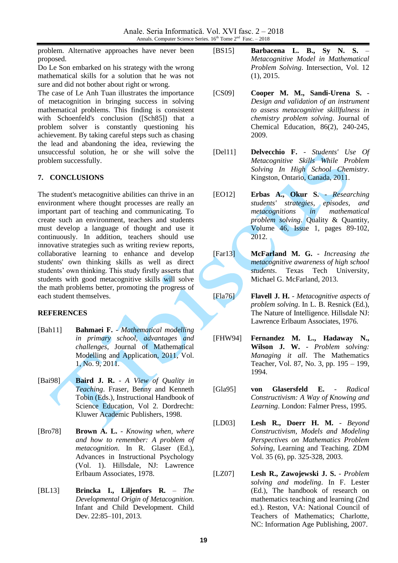problem. Alternative approaches have never been proposed.

Do Le Son embarked on his strategy with the wrong mathematical skills for a solution that he was not sure and did not bother about right or wrong.

The case of Le Anh Tuan illustrates the importance of metacognition in bringing success in solving mathematical problems. This finding is consistent with Schoenfeld's conclusion ([Sch85]) that a problem solver is constantly questioning his achievement. By taking careful steps such as chasing the lead and abandoning the idea, reviewing the unsuccessful solution, he or she will solve the problem successfully.

### **7. CONCLUSIONS**

The student's metacognitive abilities can thrive in an environment where thought processes are really an important part of teaching and communicating. To create such an environment, teachers and students must develop a language of thought and use it continuously. In addition, teachers should use innovative strategies such as writing review reports, collaborative learning to enhance and develop students' own thinking skills as well as direct students' own thinking. This study firstly asserts that students with good metacognitive skills will solve the math problems better, promoting the progress of each student themselves.

### **REFERENCES**

- [Bah11] **Bahmaei F.** *Mathematical modelling in primary school, advantages and challenges*, Journal of Mathematical Modelling and Application, 2011, Vol. 1, No. 9, 2011.
- [Bai98] **Baird J. R.** *A View of Quality in Teaching*. Fraser, Benny and Kenneth Tobin (Eds.), Instructional Handbook of Science Education, Vol 2. Dordrecht: Kluwer Academic Publishers, 1998.
- [Bro78] **Brown A. L.** *Knowing when, where and how to remember: A problem of metacognition*. In R. Glaser (Ed.), Advances in Instructional Psychology (Vol. 1). Hillsdale, NJ: Lawrence Erlbaum Associates, 1978.
- [BL13] **Brincka I., Liljenfors R.** *The Developmental Origin of Metacognition*. Infant and Child Development. Child Dev. 22:85–101, 2013.
- [BS15] **Barbacena L. B., Sy N. S.** *Metacognitive Model in Mathematical Problem Solving*. Intersection, Vol. 12 (1), 2015.
- [CS09] **Cooper M. M., Sandi-Urena S.** *Design and validation of an instrument to assess metacognitive skillfulness in chemistry problem solving*. Journal of Chemical Education, 86(2), 240-245, 2009.
- [Del11] **Delvecchio F.** *Students' Use Of Metacognitive Skills While Problem Solving In High School Chemistry*. Kingston, Ontario, Canada, 2011.
- [EO12] **Erbas A., Okur S.** *Researching students' strategies, episodes, and metacognitions in mathematical problem solving*. Quality & Quantity, Volume 46, Issue 1, pages 89-102, 2012.
- [Far13] **McFarland M. G.** *Increasing the metacognitive awareness of high school students*. Texas Tech University, Michael G. McFarland, 2013.

[Fla76] **Flavell J. H.** - *Metacognitive aspects of problem solving*. In L. B. Resnick (Ed.), The Nature of Intelligence. Hillsdale NJ: Lawrence Erlbaum Associates, 1976.

- [FHW94] **Fernandez M. L., Hadaway N., Wilson J. W.** - *Problem solving: Managing it all*. The Mathematics Teacher, Vol. 87, No. 3, pp. 195 – 199, 1994.
- [Gla95] **von Glasersfeld E.** *Radical Constructivism: A Way of Knowing and Learning*. London: Falmer Press, 1995.
- [LD03] **Lesh R., Doerr H. M.** *Beyond Constructivism, Models and Modeling Perspectives on Mathematics Problem Solving*, Learning and Teaching. ZDM Vol. 35 (6), pp. 325-328, 2003.
- [LZ07] **Lesh R., Zawojewski J. S.** *Problem solving and modeling*. In F. Lester (Ed.), The handbook of research on mathematics teaching and learning (2nd ed.). Reston, VA: National Council of Teachers of Mathematics; Charlotte, NC: Information Age Publishing, 2007.